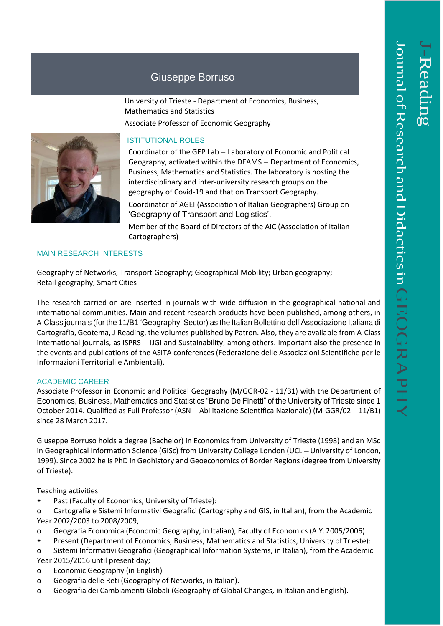## Giuseppe Borruso

University of Trieste - Department of Economics, Business, Mathematics and Statistics Associate Professor of Economic Geography



Coordinator of the GEP Lab – Laboratory of Economic and Political Geography, activated within the DEAMS – Department of Economics, Business, Mathematics and Statistics. The laboratory is hosting the interdisciplinary and inter-university research groups on the geography of Covid-19 and that on Transport Geography.

Coordinator of AGEI (Association of Italian Geographers) Group on 'Geography of Transport and Logistics'.

Member of the Board of Directors of the AIC (Association of Italian Cartographers)

## MAIN RESEARCH INTERESTS

Geography of Networks, Transport Geography; Geographical Mobility; Urban geography; Retail geography; Smart Cities

The research carried on are inserted in journals with wide diffusion in the geographical national and international communities. Main and recent research products have been published, among others, in A-Class journals (for the 11/B1 'Geography' Sector) as the Italian Bollettino dell'Associazione Italiana di Cartografia, Geotema, J-Reading, the volumes published by Patron. Also, they are available from A-Class international journals, as ISPRS – IJGI and Sustainability, among others. Important also the presence in the events and publications of the ASITA conferences (Federazione delle Associazioni Scientifiche per le Informazioni Territoriali e Ambientali).

## ACADEMIC CAREER

Associate Professor in Economic and Political Geography (M/GGR-02 - 11/B1) with the Department of Economics, Business, Mathematics and Statistics "Bruno De Finetti" of the University of Trieste since 1 October 2014. Qualified as Full Professor (ASN – Abilitazione Scientifica Nazionale) (M-GGR/02 – 11/B1) since 28 March 2017.

Giuseppe Borruso holds a degree (Bachelor) in Economics from University of Trieste (1998) and an MSc in Geographical Information Science (GISc) from University College London (UCL – University of London, 1999). Since 2002 he is PhD in Geohistory and Geoeconomics of Border Regions (degree from University of Trieste).

Teaching activities

Past (Faculty of Economics, University of Trieste):

o Cartografia e Sistemi Informativi Geografici (Cartography and GIS, in Italian), from the Academic Year 2002/2003 to 2008/2009,

- o Geografia Economica (Economic Geography, in Italian), Faculty of Economics (A.Y. 2005/2006).
- Present (Department of Economics, Business, Mathematics and Statistics, University of Trieste):
- o Sistemi Informativi Geografici (Geographical Information Systems, in Italian), from the Academic Year 2015/2016 until present day;
- o Economic Geography (in English)
- o Geografia delle Reti (Geography of Networks, in Italian).
- o Geografia dei Cambiamenti Globali (Geography of Global Changes, in Italian and English).

 $\overline{\phantom{0}}$ 

-Reading